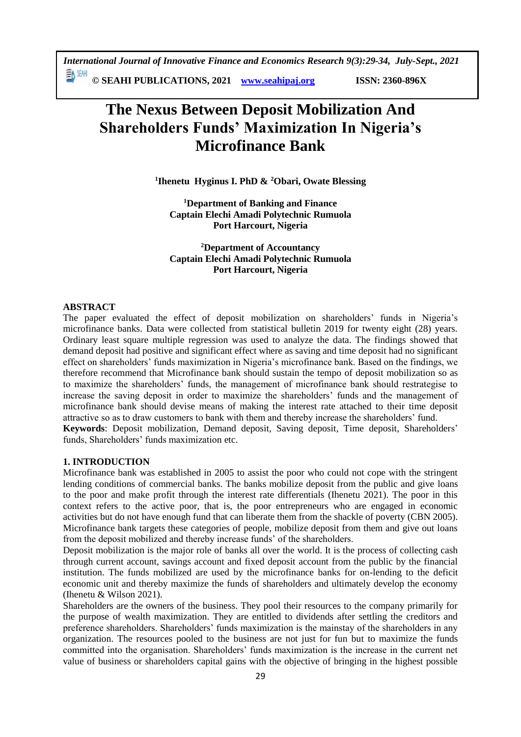**© SEAHI PUBLICATIONS, 2021 [www.seahipaj.org](http://www.seahipaj.org/) ISSN: 2360-896X**

# **The Nexus Between Deposit Mobilization And Shareholders Funds' Maximization In Nigeria's Microfinance Bank**

**1 Ihenetu Hyginus I. PhD & <sup>2</sup>Obari, Owate Blessing**

**<sup>1</sup>Department of Banking and Finance Captain Elechi Amadi Polytechnic Rumuola Port Harcourt, Nigeria**

**<sup>2</sup>Department of Accountancy Captain Elechi Amadi Polytechnic Rumuola Port Harcourt, Nigeria**

## **ABSTRACT**

The paper evaluated the effect of deposit mobilization on shareholders' funds in Nigeria's microfinance banks. Data were collected from statistical bulletin 2019 for twenty eight (28) years. Ordinary least square multiple regression was used to analyze the data. The findings showed that demand deposit had positive and significant effect where as saving and time deposit had no significant effect on shareholders' funds maximization in Nigeria's microfinance bank. Based on the findings, we therefore recommend that Microfinance bank should sustain the tempo of deposit mobilization so as to maximize the shareholders' funds, the management of microfinance bank should restrategise to increase the saving deposit in order to maximize the shareholders' funds and the management of microfinance bank should devise means of making the interest rate attached to their time deposit attractive so as to draw customers to bank with them and thereby increase the shareholders' fund. **Keywords**: Deposit mobilization, Demand deposit, Saving deposit, Time deposit, Shareholders'

funds, Shareholders' funds maximization etc.

#### **1. INTRODUCTION**

Microfinance bank was established in 2005 to assist the poor who could not cope with the stringent lending conditions of commercial banks. The banks mobilize deposit from the public and give loans to the poor and make profit through the interest rate differentials (Ihenetu 2021). The poor in this context refers to the active poor, that is, the poor entrepreneurs who are engaged in economic activities but do not have enough fund that can liberate them from the shackle of poverty (CBN 2005). Microfinance bank targets these categories of people, mobilize deposit from them and give out loans from the deposit mobilized and thereby increase funds' of the shareholders.

Deposit mobilization is the major role of banks all over the world. It is the process of collecting cash through current account, savings account and fixed deposit account from the public by the financial institution. The funds mobilized are used by the microfinance banks for on-lending to the deficit economic unit and thereby maximize the funds of shareholders and ultimately develop the economy (Ihenetu & Wilson 2021).

Shareholders are the owners of the business. They pool their resources to the company primarily for the purpose of wealth maximization. They are entitled to dividends after settling the creditors and preference shareholders. Shareholders' funds maximization is the mainstay of the shareholders in any organization. The resources pooled to the business are not just for fun but to maximize the funds committed into the organisation. Shareholders' funds maximization is the increase in the current net value of business or shareholders capital gains with the objective of bringing in the highest possible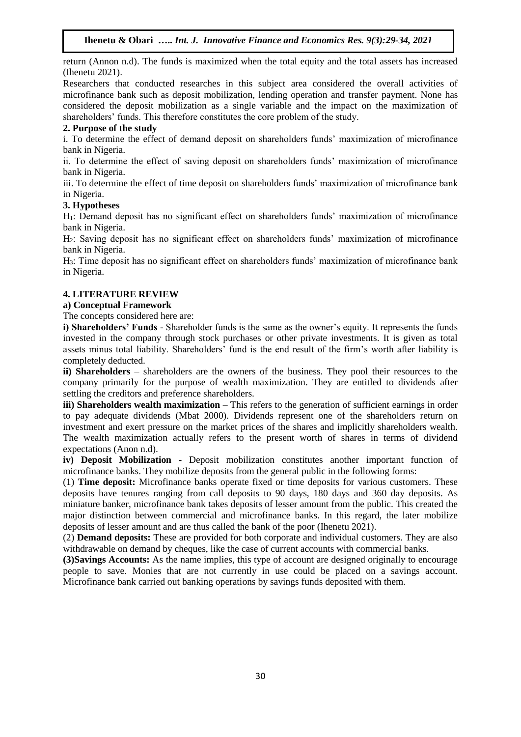return (Annon n.d). The funds is maximized when the total equity and the total assets has increased (Ihenetu 2021).

Researchers that conducted researches in this subject area considered the overall activities of microfinance bank such as deposit mobilization, lending operation and transfer payment. None has considered the deposit mobilization as a single variable and the impact on the maximization of shareholders' funds. This therefore constitutes the core problem of the study.

#### **2. Purpose of the study**

i. To determine the effect of demand deposit on shareholders funds' maximization of microfinance bank in Nigeria.

ii. To determine the effect of saving deposit on shareholders funds' maximization of microfinance bank in Nigeria.

iii. To determine the effect of time deposit on shareholders funds' maximization of microfinance bank in Nigeria.

#### **3. Hypotheses**

H1: Demand deposit has no significant effect on shareholders funds' maximization of microfinance bank in Nigeria.

H2: Saving deposit has no significant effect on shareholders funds' maximization of microfinance bank in Nigeria.

H3: Time deposit has no significant effect on shareholders funds' maximization of microfinance bank in Nigeria.

#### **4. LITERATURE REVIEW**

#### **a) Conceptual Framework**

The concepts considered here are:

**i) Shareholders' Funds** - Shareholder funds is the same as the owner's equity. It represents the funds invested in the company through stock purchases or other private investments. It is given as total assets minus total liability. Shareholders' fund is the end result of the firm's worth after liability is completely deducted.

**ii) Shareholders** – shareholders are the owners of the business. They pool their resources to the company primarily for the purpose of wealth maximization. They are entitled to dividends after settling the creditors and preference shareholders.

**iii) Shareholders wealth maximization** – This refers to the generation of sufficient earnings in order to pay adequate dividends (Mbat 2000). Dividends represent one of the shareholders return on investment and exert pressure on the market prices of the shares and implicitly shareholders wealth. The wealth maximization actually refers to the present worth of shares in terms of dividend expectations (Anon n.d).

**iv) Deposit Mobilization -** Deposit mobilization constitutes another important function of microfinance banks. They mobilize deposits from the general public in the following forms:

(1) **Time deposit:** Microfinance banks operate fixed or time deposits for various customers. These deposits have tenures ranging from call deposits to 90 days, 180 days and 360 day deposits. As miniature banker, microfinance bank takes deposits of lesser amount from the public. This created the major distinction between commercial and microfinance banks. In this regard, the later mobilize deposits of lesser amount and are thus called the bank of the poor (Ihenetu 2021).

(2) **Demand deposits:** These are provided for both corporate and individual customers. They are also withdrawable on demand by cheques, like the case of current accounts with commercial banks.

**(3)Savings Accounts:** As the name implies, this type of account are designed originally to encourage people to save. Monies that are not currently in use could be placed on a savings account. Microfinance bank carried out banking operations by savings funds deposited with them.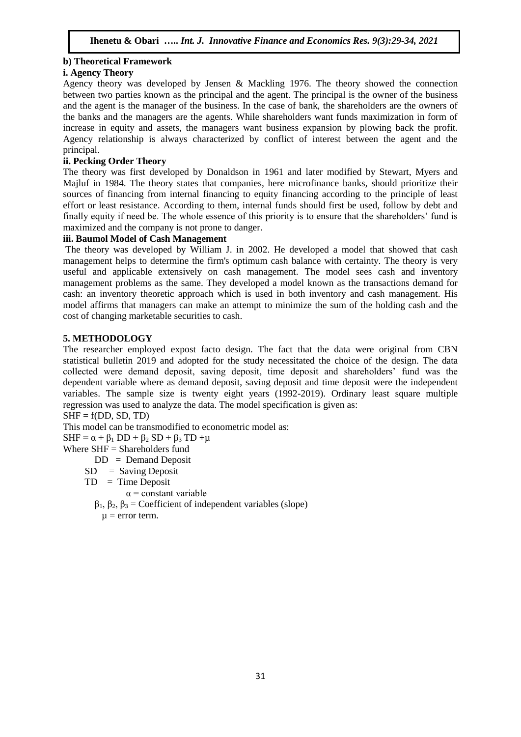## **b) Theoretical Framework**

## **i. Agency Theory**

Agency theory was developed by Jensen & Mackling 1976. The theory showed the connection between two parties known as the principal and the agent. The principal is the owner of the business and the agent is the manager of the business. In the case of bank, the shareholders are the owners of the banks and the managers are the agents. While shareholders want funds maximization in form of increase in equity and assets, the managers want business expansion by plowing back the profit. Agency relationship is always characterized by conflict of interest between the agent and the principal.

## **ii. Pecking Order Theory**

The theory was first developed by Donaldson in 1961 and later modified by Stewart, Myers and Majluf in 1984. The theory states that companies, here microfinance banks, should prioritize their sources of financing from internal financing to equity financing according to the principle of least effort or least resistance. According to them, internal funds should first be used, follow by debt and finally equity if need be. The whole essence of this priority is to ensure that the shareholders' fund is maximized and the company is not prone to danger.

## **iii. Baumol Model of Cash Management**

The theory was developed by William J. in 2002. He developed a model that showed that cash management helps to determine the firm's optimum cash balance with certainty. The theory is very useful and applicable extensively on cash management. The model sees cash and inventory management problems as the same. They developed a model known as the transactions demand for cash: an inventory theoretic approach which is used in both inventory and cash management. His model affirms that managers can make an attempt to minimize the sum of the holding cash and the cost of changing marketable securities to cash.

## **5. METHODOLOGY**

The researcher employed expost facto design. The fact that the data were original from CBN statistical bulletin 2019 and adopted for the study necessitated the choice of the design. The data collected were demand deposit, saving deposit, time deposit and shareholders' fund was the dependent variable where as demand deposit, saving deposit and time deposit were the independent variables. The sample size is twenty eight years (1992-2019). Ordinary least square multiple regression was used to analyze the data. The model specification is given as:

 $SHF = f(DD, SD, TD)$ 

This model can be transmodified to econometric model as:

 $SHF = \alpha + \beta_1 DD + \beta_2 SD + \beta_3 TD + \mu$ 

Where  $SHF = Shareholders$  fund

- DD = Demand Deposit
- $SD =$  Saving Deposit
- $TD = Time Deposit$ 
	- $\alpha$  = constant variable
	- β1, β2, β<sup>3</sup> = Coefficient of independent variables (slope)  $\mu$  = error term.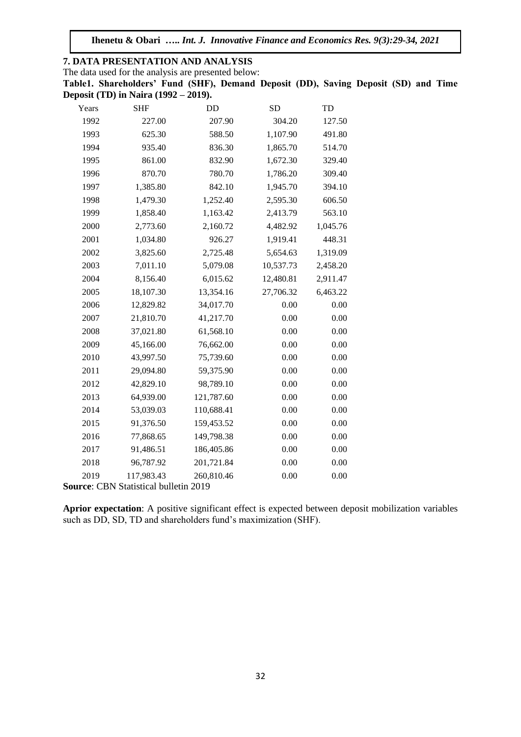**Ihenetu & Obari …..** *Int. J. Innovative Finance and Economics Res. 9(3):29-34, 2021*

**7. DATA PRESENTATION AND ANALYSIS** The data used for the analysis are presented below: **Table1. Shareholders' Fund (SHF), Demand Deposit (DD), Saving Deposit (SD) and Time Deposit (TD) in Naira (1992 – 2019).** Years SHF DD SD TD

| r ears                              | SНF        | עע         | SD        | ΙD       |  |  |  |  |
|-------------------------------------|------------|------------|-----------|----------|--|--|--|--|
| 1992                                | 227.00     | 207.90     | 304.20    | 127.50   |  |  |  |  |
| 1993                                | 625.30     | 588.50     | 1,107.90  | 491.80   |  |  |  |  |
| 1994                                | 935.40     | 836.30     | 1,865.70  | 514.70   |  |  |  |  |
| 1995                                | 861.00     | 832.90     | 1,672.30  | 329.40   |  |  |  |  |
| 1996                                | 870.70     | 780.70     | 1,786.20  | 309.40   |  |  |  |  |
| 1997                                | 1,385.80   | 842.10     | 1,945.70  | 394.10   |  |  |  |  |
| 1998                                | 1,479.30   | 1,252.40   | 2,595.30  | 606.50   |  |  |  |  |
| 1999                                | 1,858.40   | 1,163.42   | 2,413.79  | 563.10   |  |  |  |  |
| 2000                                | 2,773.60   | 2,160.72   | 4,482.92  | 1,045.76 |  |  |  |  |
| 2001                                | 1,034.80   | 926.27     | 1,919.41  | 448.31   |  |  |  |  |
| 2002                                | 3,825.60   | 2,725.48   | 5,654.63  | 1,319.09 |  |  |  |  |
| 2003                                | 7,011.10   | 5,079.08   | 10,537.73 | 2,458.20 |  |  |  |  |
| 2004                                | 8,156.40   | 6,015.62   | 12,480.81 | 2,911.47 |  |  |  |  |
| 2005                                | 18,107.30  | 13,354.16  | 27,706.32 | 6,463.22 |  |  |  |  |
| 2006                                | 12,829.82  | 34,017.70  | 0.00      | 0.00     |  |  |  |  |
| 2007                                | 21,810.70  | 41,217.70  | 0.00      | 0.00     |  |  |  |  |
| 2008                                | 37,021.80  | 61,568.10  | 0.00      | 0.00     |  |  |  |  |
| 2009                                | 45,166.00  | 76,662.00  | 0.00      | 0.00     |  |  |  |  |
| 2010                                | 43,997.50  | 75,739.60  | 0.00      | 0.00     |  |  |  |  |
| 2011                                | 29,094.80  | 59,375.90  | 0.00      | 0.00     |  |  |  |  |
| 2012                                | 42,829.10  | 98,789.10  | 0.00      | 0.00     |  |  |  |  |
| 2013                                | 64,939.00  | 121,787.60 | 0.00      | 0.00     |  |  |  |  |
| 2014                                | 53,039.03  | 110,688.41 | 0.00      | 0.00     |  |  |  |  |
| 2015                                | 91,376.50  | 159,453.52 | 0.00      | 0.00     |  |  |  |  |
| 2016                                | 77,868.65  | 149,798.38 | 0.00      | 0.00     |  |  |  |  |
| 2017                                | 91,486.51  | 186,405.86 | 0.00      | 0.00     |  |  |  |  |
| 2018                                | 96,787.92  | 201,721.84 | 0.00      | 0.00     |  |  |  |  |
| 2019                                | 117,983.43 | 260,810.46 | 0.00      | 0.00     |  |  |  |  |
| rree: CRN Statistical bulletin 2019 |            |            |           |          |  |  |  |  |

**Source**: CBN Statistical bulletin 2019

**Aprior expectation**: A positive significant effect is expected between deposit mobilization variables such as DD, SD, TD and shareholders fund's maximization (SHF).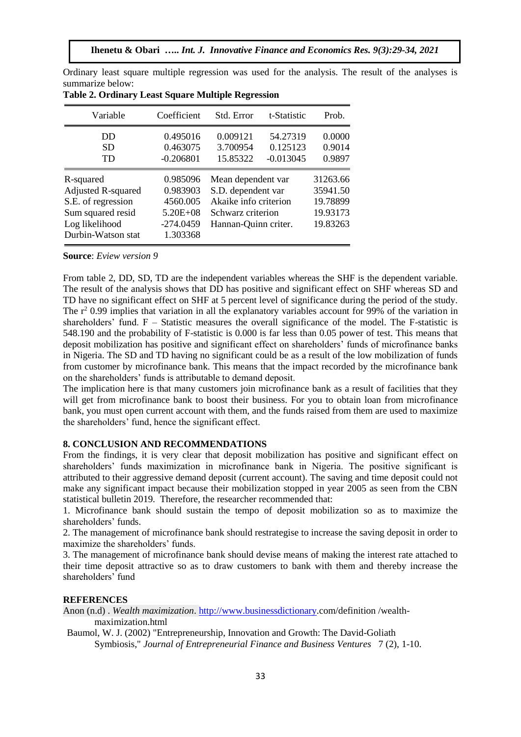| Variable                                                                                                                  | Coefficient                                                                 | Std. Error                                                                                                     | t-Statistic                         | Prob.                                                    |
|---------------------------------------------------------------------------------------------------------------------------|-----------------------------------------------------------------------------|----------------------------------------------------------------------------------------------------------------|-------------------------------------|----------------------------------------------------------|
| DD<br><b>SD</b><br>TD                                                                                                     | 0.495016<br>0.463075<br>$-0.206801$                                         | 0.009121<br>3.700954<br>15.85322                                                                               | 54.27319<br>0.125123<br>$-0.013045$ | 0.0000<br>0.9014<br>0.9897                               |
| R-squared<br><b>Adjusted R-squared</b><br>S.E. of regression<br>Sum squared resid<br>Log likelihood<br>Durbin-Watson stat | 0.985096<br>0.983903<br>4560.005<br>$5.20E + 08$<br>$-274.0459$<br>1.303368 | Mean dependent var<br>S.D. dependent var<br>Akaike info criterion<br>Schwarz criterion<br>Hannan-Quinn criter. |                                     | 31263.66<br>35941.50<br>19.78899<br>19.93173<br>19.83263 |

Ordinary least square multiple regression was used for the analysis. The result of the analyses is summarize below: **Table 2. Ordinary Least Square Multiple Regression**

#### **Source**: *Eview version 9*

From table 2, DD, SD, TD are the independent variables whereas the SHF is the dependent variable. The result of the analysis shows that DD has positive and significant effect on SHF whereas SD and TD have no significant effect on SHF at 5 percent level of significance during the period of the study. The  $r^2$  0.99 implies that variation in all the explanatory variables account for 99% of the variation in shareholders' fund.  $F -$  Statistic measures the overall significance of the model. The F-statistic is 548.190 and the probability of F-statistic is 0.000 is far less than 0.05 power of test. This means that deposit mobilization has positive and significant effect on shareholders' funds of microfinance banks in Nigeria. The SD and TD having no significant could be as a result of the low mobilization of funds from customer by microfinance bank. This means that the impact recorded by the microfinance bank on the shareholders' funds is attributable to demand deposit.

The implication here is that many customers join microfinance bank as a result of facilities that they will get from microfinance bank to boost their business. For you to obtain loan from microfinance bank, you must open current account with them, and the funds raised from them are used to maximize the shareholders' fund, hence the significant effect.

#### **8. CONCLUSION AND RECOMMENDATIONS**

From the findings, it is very clear that deposit mobilization has positive and significant effect on shareholders' funds maximization in microfinance bank in Nigeria. The positive significant is attributed to their aggressive demand deposit (current account). The saving and time deposit could not make any significant impact because their mobilization stopped in year 2005 as seen from the CBN statistical bulletin 2019. Therefore, the researcher recommended that:

1. Microfinance bank should sustain the tempo of deposit mobilization so as to maximize the shareholders' funds.

2. The management of microfinance bank should restrategise to increase the saving deposit in order to maximize the shareholders' funds.

3. The management of microfinance bank should devise means of making the interest rate attached to their time deposit attractive so as to draw customers to bank with them and thereby increase the shareholders' fund

#### **REFERENCES**

Anon (n.d) . *Wealth maximization*. [http://www.businessdictionary.](http://www.businessdictionary/)com/definition /wealth-

#### maximization.html

Baumol, W. J. (2002) "Entrepreneurship, Innovation and Growth: The David-Goliath Symbiosis," *Journal of Entrepreneurial Finance and Business Ventures* 7 (2), 1-10.